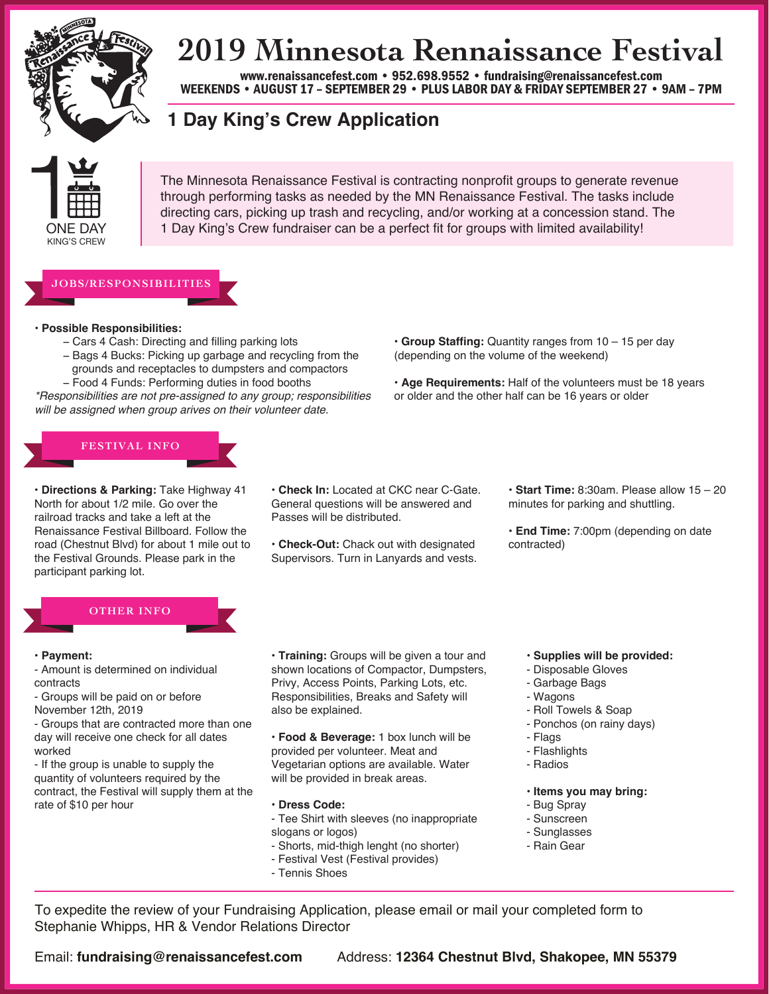

# **2019 Minnesota Rennaissance Festival**

www.renaissancefest.com • 952.698.9552 • fundraising@renaissancefest.com WEEKENDS • AUGUST 17 – SEPTEMBER 29 • PLUS LABOR DAY & FRIDAY SEPTEMBER 27 • 9AM – 7PM

## **1 Day King's Crew Application**



The Minnesota Renaissance Festival is contracting nonprofit groups to generate revenue through performing tasks as needed by the MN Renaissance Festival. The tasks include directing cars, picking up trash and recycling, and/or working at a concession stand. The 1 Day King's Crew fundraiser can be a perfect fit for groups with limited availability!

### **JOBS/RESPONSIBILITIES**

#### **• Possible Responsibilities:**

- − Cars 4 Cash: Directing and filling parking lots
- − Bags 4 Bucks: Picking up garbage and recycling from the grounds and receptacles to dumpsters and compactors − Food 4 Funds: Performing duties in food booths

*\*Responsibilities are not pre-assigned to any group; responsibilities will be assigned when group arives on their volunteer date.*

- **• Group Staffing:** Quantity ranges from 10 15 per day (depending on the volume of the weekend)
- **• Age Requirements:** Half of the volunteers must be 18 years or older and the other half can be 16 years or older

# **FESTIVAL INFO**

**• Directions & Parking:** Take Highway 41 North for about 1/2 mile. Go over the railroad tracks and take a left at the Renaissance Festival Billboard. Follow the road (Chestnut Blvd) for about 1 mile out to the Festival Grounds. Please park in the participant parking lot.

- **• Check In:** Located at CKC near C-Gate. General questions will be answered and Passes will be distributed.
- **• Check-Out:** Chack out with designated Supervisors. Turn in Lanyards and vests.

**• Start Time:** 8:30am. Please allow 15 – 20 minutes for parking and shuttling.

**• End Time:** 7:00pm (depending on date contracted)

### **OTHER INFO**

#### **• Payment:**

- Amount is determined on individual contracts
- Groups will be paid on or before November 12th, 2019
- Groups that are contracted more than one day will receive one check for all dates worked

- If the group is unable to supply the quantity of volunteers required by the contract, the Festival will supply them at the rate of \$10 per hour

**• Training:** Groups will be given a tour and shown locations of Compactor, Dumpsters, Privy, Access Points, Parking Lots, etc. Responsibilities, Breaks and Safety will also be explained.

**• Food & Beverage:** 1 box lunch will be provided per volunteer. Meat and Vegetarian options are available. Water will be provided in break areas.

- **• Dress Code:**
- Tee Shirt with sleeves (no inappropriate slogans or logos)
- Shorts, mid-thigh lenght (no shorter)
- Festival Vest (Festival provides)
- Tennis Shoes
- **• Supplies will be provided:**
- Disposable Gloves
- Garbage Bags
- Wagons
- Roll Towels & Soap
- Ponchos (on rainy days)
- Flags
- Flashlights
- Radios
- **• Items you may bring:**
- Bug Spray
- Sunscreen
- Sunglasses
- Rain Gear

To expedite the review of your Fundraising Application, please email or mail your completed form to Stephanie Whipps, HR & Vendor Relations Director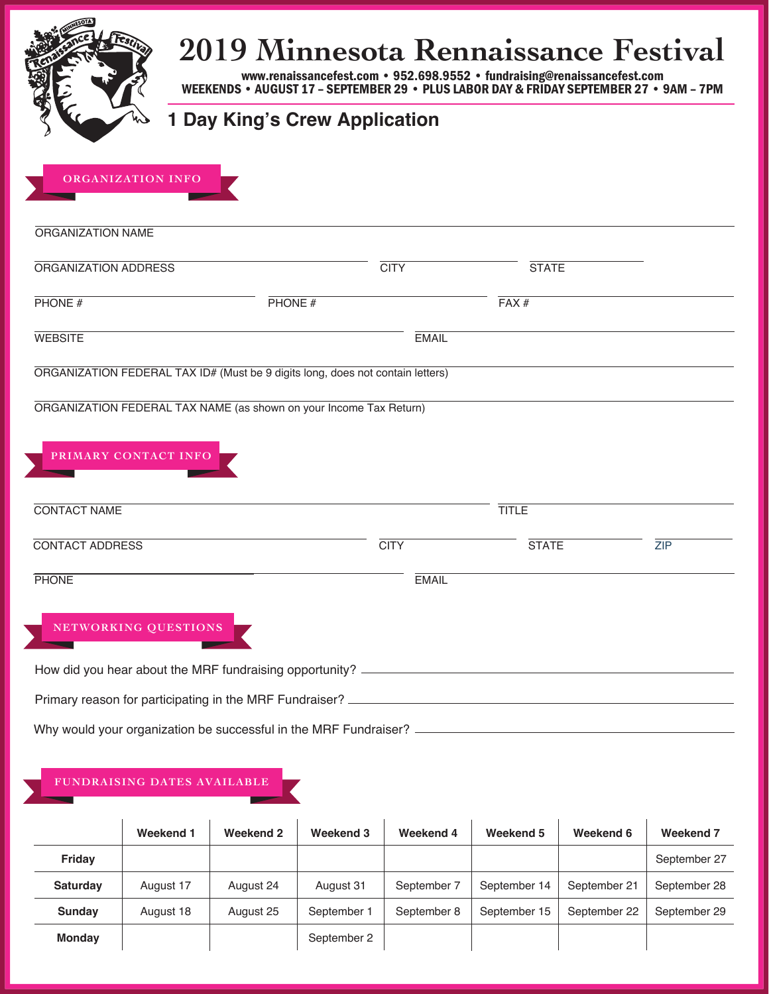|                        | 2019 Minnesota Rennaissance Festival<br>WEEKENDS . AUGUST 17 - SEPTEMBER 29 . PLUS LABOR DAY & FRIDAY SEPTEMBER 27 . 9AM - 7PM |              | www.renaissancefest.com • 952.698.9552 • fundraising@renaissancefest.com |            |
|------------------------|--------------------------------------------------------------------------------------------------------------------------------|--------------|--------------------------------------------------------------------------|------------|
|                        | <b>Day King's Crew Application</b>                                                                                             |              |                                                                          |            |
| ORGANIZATION INFO      |                                                                                                                                |              |                                                                          |            |
| ORGANIZATION NAME      |                                                                                                                                |              |                                                                          |            |
| ORGANIZATION ADDRESS   |                                                                                                                                | <b>CITY</b>  | <b>STATE</b>                                                             |            |
| PHONE#                 | PHONE $#$                                                                                                                      |              | FAX#                                                                     |            |
| <b>WEBSITE</b>         |                                                                                                                                | <b>EMAIL</b> |                                                                          |            |
|                        | ORGANIZATION FEDERAL TAX ID# (Must be 9 digits long, does not contain letters)                                                 |              |                                                                          |            |
|                        | ORGANIZATION FEDERAL TAX NAME (as shown on your Income Tax Return)                                                             |              |                                                                          |            |
| PRIMARY CONTACT INFO   |                                                                                                                                |              |                                                                          |            |
|                        |                                                                                                                                |              |                                                                          |            |
| <b>CONTACT NAME</b>    |                                                                                                                                |              | <b>TITLE</b>                                                             |            |
| <b>CONTACT ADDRESS</b> |                                                                                                                                | <b>CITY</b>  | <b>STATE</b>                                                             | <b>ZIP</b> |
| <b>PHONE</b>           |                                                                                                                                | <b>EMAIL</b> |                                                                          |            |
| NETWORKING QUESTIONS   |                                                                                                                                |              |                                                                          |            |
|                        |                                                                                                                                |              |                                                                          |            |
|                        |                                                                                                                                |              |                                                                          |            |
|                        | Why would your organization be successful in the MRF Fundraiser? ___________________________________                           |              |                                                                          |            |

### **FUNDRAISING DATES AVAILABLE**

|                 | Weekend 1 | Weekend 2 | Weekend 3   | Weekend 4   | Weekend 5    | Weekend 6    | Weekend <sub>7</sub> |
|-----------------|-----------|-----------|-------------|-------------|--------------|--------------|----------------------|
| Friday          |           |           |             |             |              |              | September 27         |
| <b>Saturday</b> | August 17 | August 24 | August 31   | September 7 | September 14 | September 21 | September 28         |
| <b>Sunday</b>   | August 18 | August 25 | September 1 | September 8 | September 15 | September 22 | September 29         |
| <b>Monday</b>   |           |           | September 2 |             |              |              |                      |

K